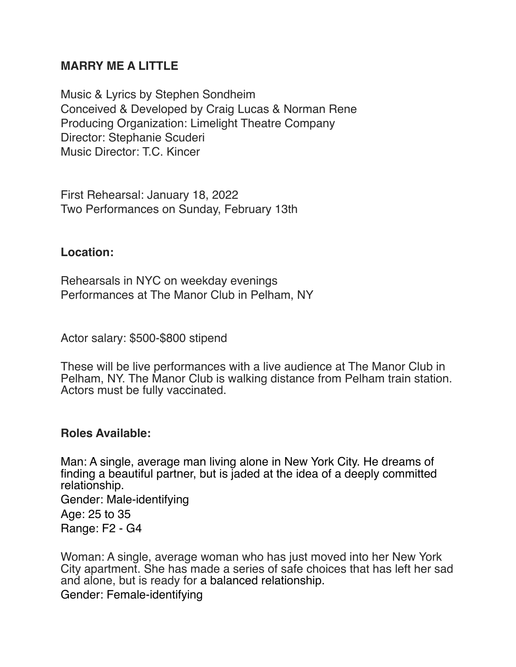# **MARRY ME A LITTLE**

Music & Lyrics by Stephen Sondheim Conceived & Developed by Craig Lucas & Norman Rene Producing Organization: Limelight Theatre Company Director: Stephanie Scuderi Music Director: T.C. Kincer

First Rehearsal: January 18, 2022 Two Performances on Sunday, February 13th

### **Location:**

Rehearsals in NYC on weekday evenings Performances at The Manor Club in Pelham, NY

Actor salary: \$500-\$800 stipend

These will be live performances with a live audience at The Manor Club in Pelham, NY. The Manor Club is walking distance from Pelham train station. Actors must be fully vaccinated.

#### **Roles Available:**

Man: A single, average man living alone in New York City. He dreams of finding a beautiful partner, but is jaded at the idea of a deeply committed relationship.

Gender: Male-identifying Age: 25 to 35 Range: F2 - G4

Woman: A single, average woman who has just moved into her New York City apartment. She has made a series of safe choices that has left her sad and alone, but is ready for a balanced relationship. Gender: Female-identifying